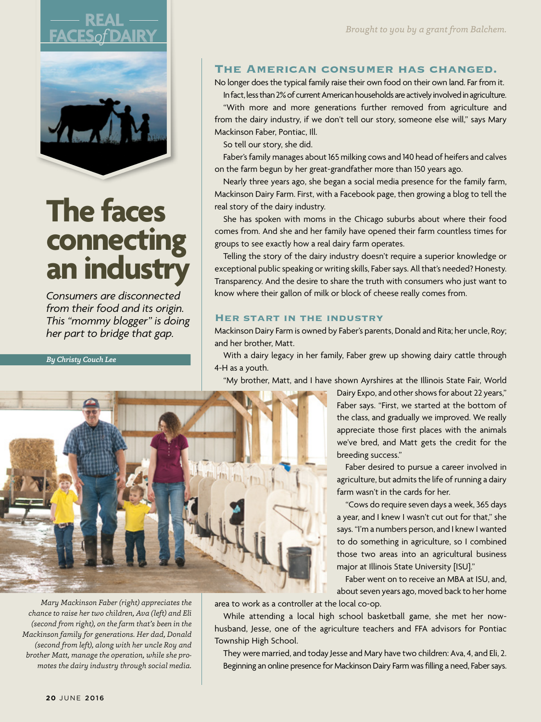# **FACES***of***DAIRY**



## **The faces connecting an industry**

*Consumers are disconnected from their food and its origin. This "mommy blogger" is doing her part to bridge that gap.*

*By Christy Couch Lee*

#### The American consumer has changed.

No longer does the typical family raise their own food on their own land. Far from it.

In fact, less than 2% of current American households are actively involved in agriculture. "With more and more generations further removed from agriculture and from the dairy industry, if we don't tell our story, someone else will," says Mary Mackinson Faber, Pontiac, Ill.

So tell our story, she did.

Faber's family manages about 165 milking cows and 140 head of heifers and calves on the farm begun by her great-grandfather more than 150 years ago.

Nearly three years ago, she began a social media presence for the family farm, Mackinson Dairy Farm. First, with a Facebook page, then growing a blog to tell the real story of the dairy industry.

She has spoken with moms in the Chicago suburbs about where their food comes from. And she and her family have opened their farm countless times for groups to see exactly how a real dairy farm operates.

Telling the story of the dairy industry doesn't require a superior knowledge or exceptional public speaking or writing skills, Faber says. All that's needed? Honesty. Transparency. And the desire to share the truth with consumers who just want to know where their gallon of milk or block of cheese really comes from.

#### Her start in the industry

Mackinson Dairy Farm is owned by Faber's parents, Donald and Rita; her uncle, Roy; and her brother, Matt.

With a dairy legacy in her family, Faber grew up showing dairy cattle through 4-H as a youth.

"My brother, Matt, and I have shown Ayrshires at the Illinois State Fair, World



*Mary Mackinson Faber (right) appreciates the chance to raise her two children, Ava (left) and Eli (second from right), on the farm that's been in the Mackinson family for generations. Her dad, Donald (second from left), along with her uncle Roy and brother Matt, manage the operation, while she promotes the dairy industry through social media.*  Dairy Expo, and other shows for about 22 years," Faber says. "First, we started at the bottom of the class, and gradually we improved. We really appreciate those first places with the animals we've bred, and Matt gets the credit for the breeding success."

Faber desired to pursue a career involved in agriculture, but admits the life of running a dairy farm wasn't in the cards for her.

"Cows do require seven days a week, 365 days a year, and I knew I wasn't cut out for that," she says. "I'm a numbers person, and I knew I wanted to do something in agriculture, so I combined those two areas into an agricultural business major at Illinois State University [ISU]."

Faber went on to receive an MBA at ISU, and, about seven years ago, moved back to her home

area to work as a controller at the local co-op.

While attending a local high school basketball game, she met her nowhusband, Jesse, one of the agriculture teachers and FFA advisors for Pontiac Township High School.

They were married, and today Jesse and Mary have two children: Ava, 4, and Eli, 2. Beginning an online presence for Mackinson Dairy Farm was filling a need, Faber says.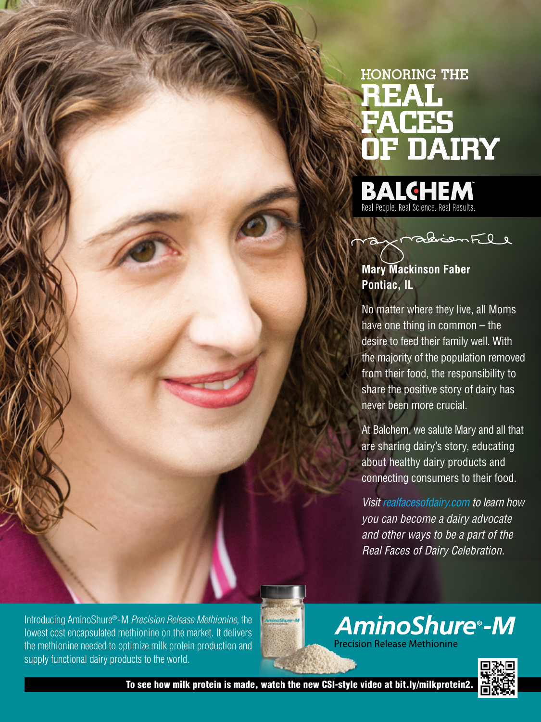## HONORING THE REAL FACES OF DAIRY

**BALCHEM**<br>Real People. Real Science. Real Results.



**Mary Mackinson Faber Pontiac, IL** 

No matter where they live, all Moms have one thing in common – the desire to feed their family well. With the majority of the population removed from their food, the responsibility to share the positive story of dairy has never been more crucial.

At Balchem, we salute Mary and all that are sharing dairy's story, educating about healthy dairy products and connecting consumers to their food.

*Visit realfacesofdairy.com to learn how you can become a dairy advocate and other ways to be a part of the Real Faces of Dairy Celebration.*

**AminoShure®-M** 

**Precision Release Methionine** 

Introducing AminoShure®-M *Precision Release Methionine,* the lowest cost encapsulated methionine on the market. It delivers the methionine needed to optimize milk protein production and supply functional dairy products to the world.

To see how milk protein is made, watch the new CSI-style video at bit.ly/milkprotein2.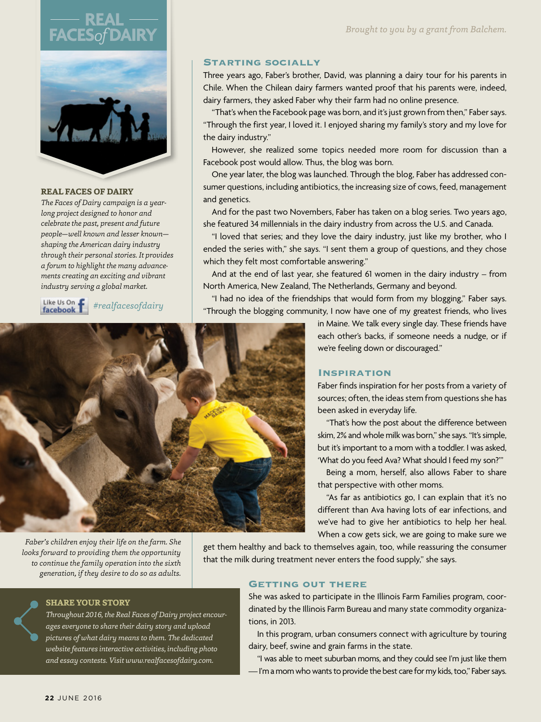### **FACES***of***DAIRY REAL**



#### **REAL FACES OF DAIRY**

*The Faces of Dairy campaign is a yearlong project designed to honor and celebrate the past, present and future people—well known and lesser known shaping the American dairy industry through their personal stories. It provides a forum to highlight the many advancements creating an exciting and vibrant industry serving a global market.*



*#realfacesofdairy*

#### Starting socially

Three years ago, Faber's brother, David, was planning a dairy tour for his parents in Chile. When the Chilean dairy farmers wanted proof that his parents were, indeed, dairy farmers, they asked Faber why their farm had no online presence.

"That's when the Facebook page was born, and it's just grown from then," Faber says. "Through the first year, I loved it. I enjoyed sharing my family's story and my love for the dairy industry."

However, she realized some topics needed more room for discussion than a Facebook post would allow. Thus, the blog was born.

One year later, the blog was launched. Through the blog, Faber has addressed consumer questions, including antibiotics, the increasing size of cows, feed, management and genetics.

And for the past two Novembers, Faber has taken on a blog series. Two years ago, she featured 34 millennials in the dairy industry from across the U.S. and Canada.

"I loved that series; and they love the dairy industry, just like my brother, who I ended the series with," she says. "I sent them a group of questions, and they chose which they felt most comfortable answering."

And at the end of last year, she featured 61 women in the dairy industry – from North America, New Zealand, The Netherlands, Germany and beyond.

"I had no idea of the friendships that would form from my blogging," Faber says. "Through the blogging community, I now have one of my greatest friends, who lives



*Faber's children enjoy their life on the farm. She looks forward to providing them the opportunity to continue the family operation into the sixth generation, if they desire to do so as adults.* 

in Maine. We talk every single day. These friends have each other's backs, if someone needs a nudge, or if we're feeling down or discouraged."

#### Inspiration

Faber finds inspiration for her posts from a variety of sources; often, the ideas stem from questions she has been asked in everyday life.

"That's how the post about the difference between skim, 2% and whole milk was born," she says. "It's simple, but it's important to a mom with a toddler. I was asked, 'What do you feed Ava? What should I feed my son?'"

Being a mom, herself, also allows Faber to share that perspective with other moms.

"As far as antibiotics go, I can explain that it's no different than Ava having lots of ear infections, and we've had to give her antibiotics to help her heal. When a cow gets sick, we are going to make sure we

get them healthy and back to themselves again, too, while reassuring the consumer that the milk during treatment never enters the food supply," she says.

#### Getting out there

She was asked to participate in the Illinois Farm Families program, coordinated by the Illinois Farm Bureau and many state commodity organizations, in 2013.

In this program, urban consumers connect with agriculture by touring dairy, beef, swine and grain farms in the state.

"I was able to meet suburban moms, and they could see I'm just like them — I'm a mom who wants to provide the best care for my kids, too," Faber says.

*Throughout 2016, the Real Faces of Dairy project encourages everyone to share their dairy story and upload pictures of what dairy means to them. The dedicated website features interactive activities, including photo and essay contests. Visit www.realfacesofdairy.com.*